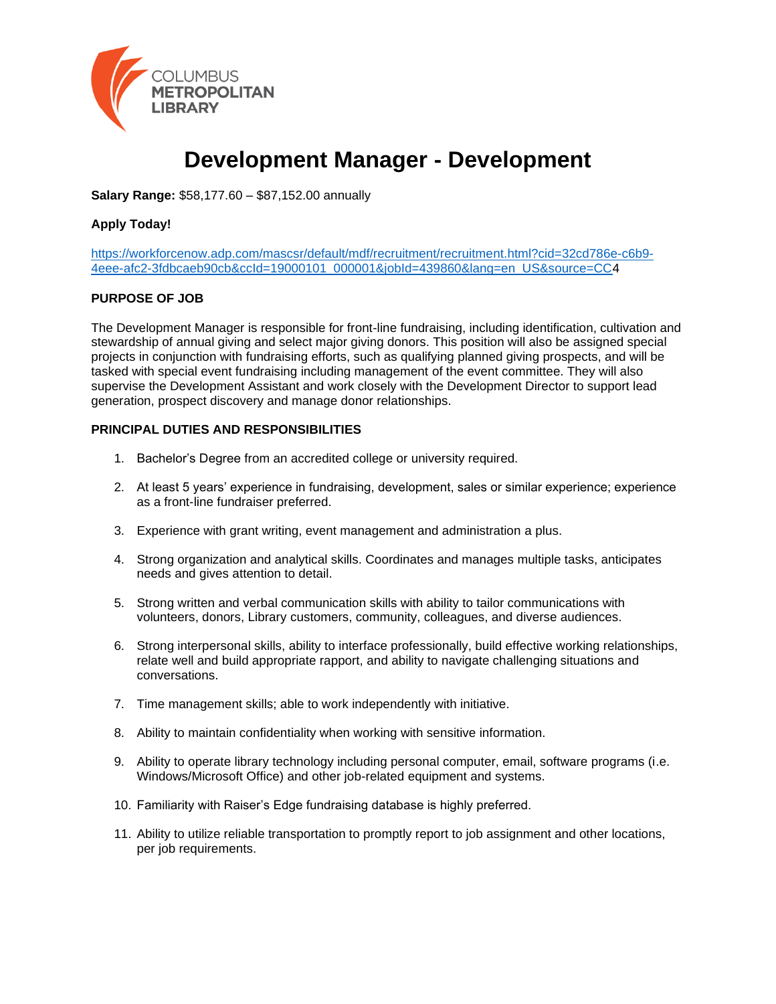

# **Development Manager - Development**

**Salary Range:** \$58,177.60 – \$87,152.00 annually

#### **Apply Today!**

[https://workforcenow.adp.com/mascsr/default/mdf/recruitment/recruitment.html?cid=32cd786e-c6b9-](https://workforcenow.adp.com/mascsr/default/mdf/recruitment/recruitment.html?cid=32cd786e-c6b9-4eee-afc2-3fdbcaeb90cb&ccId=19000101_000001&jobId=439860&lang=en_US&source=CC) [4eee-afc2-3fdbcaeb90cb&ccId=19000101\\_000001&jobId=439860&lang=en\\_US&source=CC4](https://workforcenow.adp.com/mascsr/default/mdf/recruitment/recruitment.html?cid=32cd786e-c6b9-4eee-afc2-3fdbcaeb90cb&ccId=19000101_000001&jobId=439860&lang=en_US&source=CC)

#### **PURPOSE OF JOB**

The Development Manager is responsible for front-line fundraising, including identification, cultivation and stewardship of annual giving and select major giving donors. This position will also be assigned special projects in conjunction with fundraising efforts, such as qualifying planned giving prospects, and will be tasked with special event fundraising including management of the event committee. They will also supervise the Development Assistant and work closely with the Development Director to support lead generation, prospect discovery and manage donor relationships.

#### **PRINCIPAL DUTIES AND RESPONSIBILITIES**

- 1. Bachelor's Degree from an accredited college or university required.
- 2. At least 5 years' experience in fundraising, development, sales or similar experience; experience as a front-line fundraiser preferred.
- 3. Experience with grant writing, event management and administration a plus.
- 4. Strong organization and analytical skills. Coordinates and manages multiple tasks, anticipates needs and gives attention to detail.
- 5. Strong written and verbal communication skills with ability to tailor communications with volunteers, donors, Library customers, community, colleagues, and diverse audiences.
- 6. Strong interpersonal skills, ability to interface professionally, build effective working relationships, relate well and build appropriate rapport, and ability to navigate challenging situations and conversations.
- 7. Time management skills; able to work independently with initiative.
- 8. Ability to maintain confidentiality when working with sensitive information.
- 9. Ability to operate library technology including personal computer, email, software programs (i.e. Windows/Microsoft Office) and other job-related equipment and systems.
- 10. Familiarity with Raiser's Edge fundraising database is highly preferred.
- 11. Ability to utilize reliable transportation to promptly report to job assignment and other locations, per job requirements.